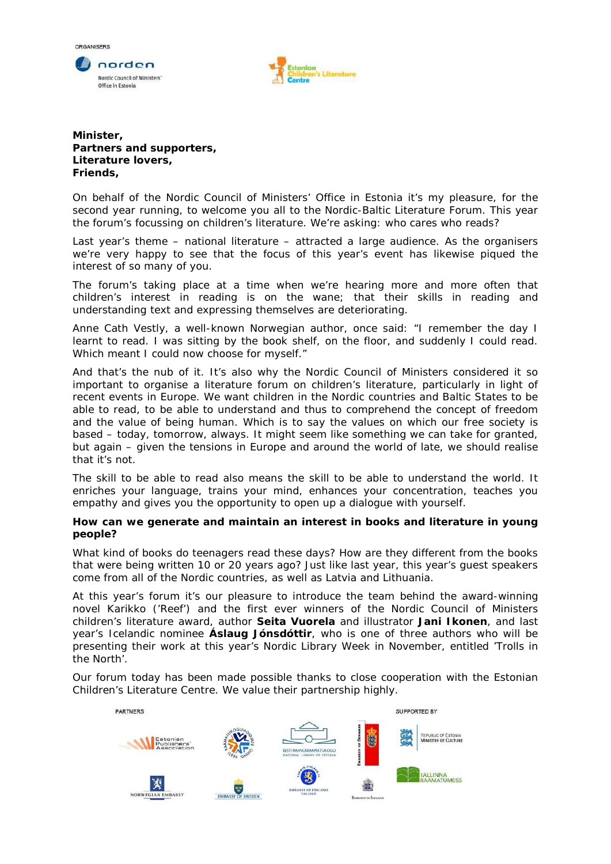



## **Minister, Partners and supporters, Literature lovers, Friends,**

On behalf of the Nordic Council of Ministers' Office in Estonia it's my pleasure, for the second year running, to welcome you all to the Nordic-Baltic Literature Forum. This year the forum's focussing on children's literature. We're asking: who cares who reads?

Last year's theme – national literature – attracted a large audience. As the organisers we're very happy to see that the focus of this year's event has likewise piqued the interest of so many of you.

The forum's taking place at a time when we're hearing more and more often that children's interest in reading is on the wane; that their skills in reading and understanding text and expressing themselves are deteriorating.

Anne Cath Vestly, a well-known Norwegian author, once said: "I remember the day I learnt to read. I was sitting by the book shelf, on the floor, and suddenly I could read. Which meant I could now choose for myself."

And that's the nub of it. It's also why the Nordic Council of Ministers considered it so important to organise a literature forum on children's literature, particularly in light of recent events in Europe. We want children in the Nordic countries and Baltic States to be able to read, to be able to understand and thus to comprehend the concept of freedom and the value of being human. Which is to say the values on which our free society is based – today, tomorrow, always. It might seem like something we can take for granted, but again – given the tensions in Europe and around the world of late, we should realise that it's not.

The skill to be able to read also means the skill to be able to understand the world. It enriches your language, trains your mind, enhances your concentration, teaches you empathy and gives you the opportunity to open up a dialogue with yourself.

## **How can we generate and maintain an interest in books and literature in young people?**

What kind of books do teenagers read these days? How are they different from the books that were being written 10 or 20 years ago? Just like last year, this year's guest speakers come from all of the Nordic countries, as well as Latvia and Lithuania.

At this year's forum it's our pleasure to introduce the team behind the award-winning novel *Karikko* ('Reef') and the first ever winners of the Nordic Council of Ministers children's literature award, author **Seita Vuorela** and illustrator **Jani Ikonen**, and last year's Icelandic nominee **Áslaug Jónsdóttir**, who is one of three authors who will be presenting their work at this year's Nordic Library Week in November, entitled 'Trolls in the North'.

Our forum today has been made possible thanks to close cooperation with the Estonian Children's Literature Centre. We value their partnership highly.